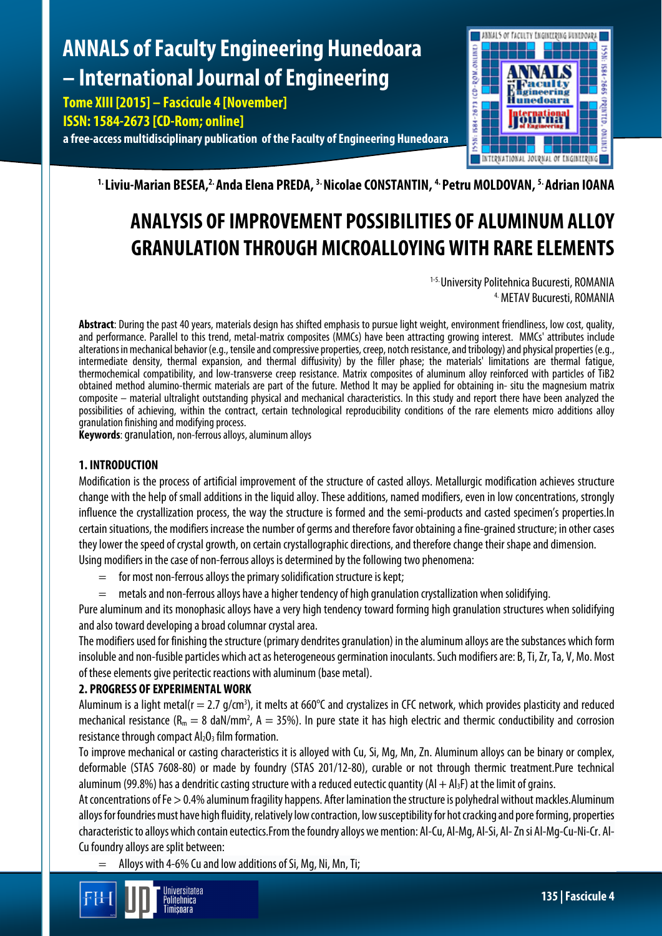# **ANNALS of Faculty Engineering Hunedoara – International Journal of Engineering**

**Tome XIII [2015] – Fascicule 4 [November] ISSN: 1584-2673 [CD-Rom; online] a free-access multidisciplinary publication of the Faculty of Engineering Hunedoara**



<sup>1.</sup> Liviu-Marian BESEA,<sup>2.</sup> Anda Elena PREDA, <sup>3.</sup> Nicolae CONSTANTIN, <sup>4.</sup> Petru MOLDOVAN, <sup>5.</sup> Adrian IOANA

# **ANALYSIS OF IMPROVEMENT POSSIBILITIES OF ALUMINUM ALLOY GRANULATION THROUGH MICROALLOYING WITH RARE ELEMENTS**

1-5. University Politehnica Bucuresti, ROMANIA 4. METAV Bucuresti, ROMANIA

**Abstract**: During the past 40 years, materials design has shifted emphasis to pursue light weight, environment friendliness, low cost, quality, and performance. Parallel to this trend, metal-matrix composites (MMCs) have been attracting growing interest. MMCs' attributes include alterations in mechanical behavior (e.g., tensile and compressive properties, creep, notch resistance, and tribology) and physical properties (e.g., intermediate density, thermal expansion, and thermal diffusivity) by the filler phase; the materials' limitations are thermal fatigue, thermochemical compatibility, and low-transverse creep resistance. Matrix composites of aluminum alloy reinforced with particles of TiB2 obtained method alumino-thermic materials are part of the future. Method It may be applied for obtaining in- situ the magnesium matrix composite – material ultralight outstanding physical and mechanical characteristics. In this study and report there have been analyzed the possibilities of achieving, within the contract, certain technological reproducibility conditions of the rare elements micro additions alloy granulation finishing and modifying process.

**Keywords**: granulation, non-ferrous alloys, aluminum alloys

## **1. INTRODUCTION**

Modification is the process of artificial improvement of the structure of casted alloys. Metallurgic modification achieves structure change with the help of small additions in the liquid alloy. These additions, named modifiers, even in low concentrations, strongly influence the crystallization process, the way the structure is formed and the semi-products and casted specimen's properties.In certain situations, the modifiers increase the number of germs and therefore favor obtaining a fine-grained structure; in other cases they lower the speed of crystal growth, on certain crystallographic directions, and therefore change their shape and dimension. Using modifiers in the case of non-ferrous alloys is determined by the following two phenomena:

- $=$  for most non-ferrous alloys the primary solidification structure is kept;
- $=$  metals and non-ferrous alloys have a higher tendency of high granulation crystallization when solidifying.

Pure aluminum and its monophasic alloys have a very high tendency toward forming high granulation structures when solidifying and also toward developing a broad columnar crystal area.

The modifiers used for finishing the structure (primary dendrites granulation) in the aluminum alloys are the substances which form insoluble and non-fusible particles which act as heterogeneous germination inoculants. Such modifiers are: B, Ti, Zr, Ta, V, Mo. Most of these elements give peritectic reactions with aluminum (base metal).

# **2. PROGRESS OF EXPERIMENTAL WORK**

Aluminum is a light metal( $r = 2.7$  g/cm<sup>3</sup>), it melts at 660°C and crystalizes in CFC network, which provides plasticity and reduced mechanical resistance ( $R_m = 8$  daN/mm<sup>2</sup>,  $A = 35\%$ ). In pure state it has high electric and thermic conductibility and corrosion resistance through compact  $Al_2O_3$  film formation.

To improve mechanical or casting characteristics it is alloyed with Cu, Si, Mg, Mn, Zn. Aluminum alloys can be binary or complex, deformable (STAS 7608-80) or made by foundry (STAS 201/12-80), curable or not through thermic treatment.Pure technical aluminum (99.8%) has a dendritic casting structure with a reduced eutectic quantity (Al  $+$  Al<sub>3</sub>F) at the limit of grains.

At concentrations of Fe > 0.4% aluminum fragility happens. After lamination the structure is polyhedral without mackles.Aluminum alloys for foundries must have high fluidity, relatively low contraction, low susceptibility for hot cracking and pore forming, properties characteristic to alloys which contain eutectics.From the foundry alloys we mention: Al-Cu, Al-Mg, Al-Si, Al-Zn si Al-Mg-Cu-Ni-Cr. Al-Cu foundry alloys are split between:

Alloys with 4-6% Cu and low additions of Si, Mg, Ni, Mn, Ti;

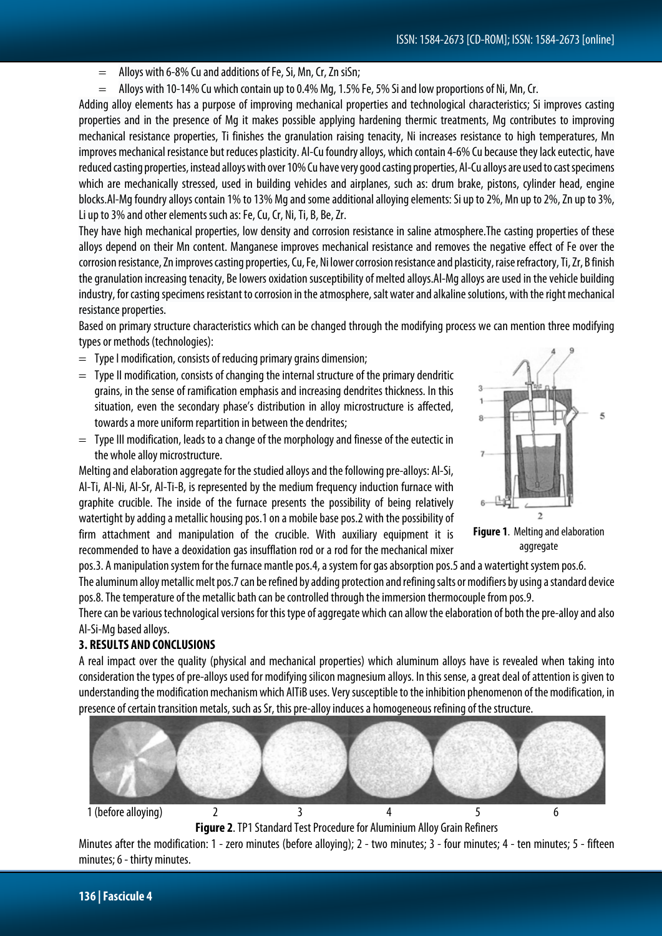- $=$  Alloys with 6-8% Cu and additions of Fe, Si, Mn, Cr, Zn siSn;
- = Alloys with 10-14% Cu which contain up to 0.4% Mg, 1.5% Fe, 5% Si and low proportions of Ni, Mn, Cr.

Adding alloy elements has a purpose of improving mechanical properties and technological characteristics; Si improves casting properties and in the presence of Mg it makes possible applying hardening thermic treatments, Mg contributes to improving mechanical resistance properties, Ti finishes the granulation raising tenacity, Ni increases resistance to high temperatures, Mn improves mechanical resistance but reduces plasticity. Al-Cu foundry alloys, which contain 4-6% Cu because they lack eutectic, have reduced casting properties, instead alloys with over 10% Cu have very good casting properties, Al-Cu alloys are used to cast specimens which are mechanically stressed, used in building vehicles and airplanes, such as: drum brake, pistons, cylinder head, engine blocks.Al-Mg foundry alloys contain 1% to 13% Mg and some additional alloying elements: Si up to 2%, Mn up to 2%, Zn up to 3%, Li up to 3% and other elements such as: Fe, Cu, Cr, Ni, Ti, B, Be, Zr.

They have high mechanical properties, low density and corrosion resistance in saline atmosphere.The casting properties of these alloys depend on their Mn content. Manganese improves mechanical resistance and removes the negative effect of Fe over the corrosion resistance, Zn improvescasting properties, Cu, Fe, Ni lower corrosion resistance and plasticity, raise refractory, Ti, Zr, B finish the granulation increasing tenacity, Be lowers oxidation susceptibility of melted alloys.Al-Mg alloys are used in the vehicle building industry, for casting specimens resistant to corrosion in the atmosphere, salt water and alkaline solutions, with the right mechanical resistance properties.

Based on primary structure characteristics which can be changed through the modifying process we can mention three modifying types or methods (technologies):

- $=$  Type I modification, consists of reducing primary grains dimension;
- $=$  Type II modification, consists of changing the internal structure of the primary dendritic grains, in the sense of ramification emphasis and increasing dendrites thickness. In this situation, even the secondary phase's distribution in alloy microstructure is affected, towards a more uniform repartition in between the dendrites;
- $=$  Type III modification, leads to a change of the morphology and finesse of the eutectic in the whole alloy microstructure.

Melting and elaboration aggregate for the studied alloys and the following pre-alloys: Al-Si, Al-Ti, Al-Ni, Al-Sr, Al-Ti-B, is represented by the medium frequency induction furnace with graphite crucible. The inside of the furnace presents the possibility of being relatively watertight by adding a metallic housing pos.1 on a mobile base pos.2 with the possibility of firm attachment and manipulation of the crucible. With auxiliary equipment it is recommended to have a deoxidation gas insufflation rod or a rod for the mechanical mixer

pos.3. A manipulation system for the furnace mantle pos.4, a system for gas absorption pos.5 and a watertight system pos.6. The aluminum alloy metallic melt pos.7 can be refined by adding protection and refining salts or modifiers by using a standard device

pos.8. The temperature of the metallic bath can be controlled through the immersion thermocouple from pos.9. There can be various technological versions for this type of aggregate which can allow the elaboration of both the pre-alloy and also

Al-Si-Mg based alloys.

### **3. RESULTS AND CONCLUSIONS**

A real impact over the quality (physical and mechanical properties) which aluminum alloys have is revealed when taking into consideration the types of pre-alloys used for modifying silicon magnesium alloys. In this sense, a great deal of attention is given to understanding the modification mechanism which AlTiB uses. Very susceptible to the inhibition phenomenon of the modification, in presence of certain transition metals, such as Sr, this pre-alloy induces a homogeneous refining of the structure.



**Figure 2**. TP1 Standard Test Procedure for Aluminium Alloy Grain Refiners

Minutes after the modification: 1 - zero minutes (before alloying); 2 - two minutes; 3 - four minutes; 4 - ten minutes; 5 - fifteen minutes; 6 - thirty minutes.



**Figure 1**. Melting and elaboration aggregate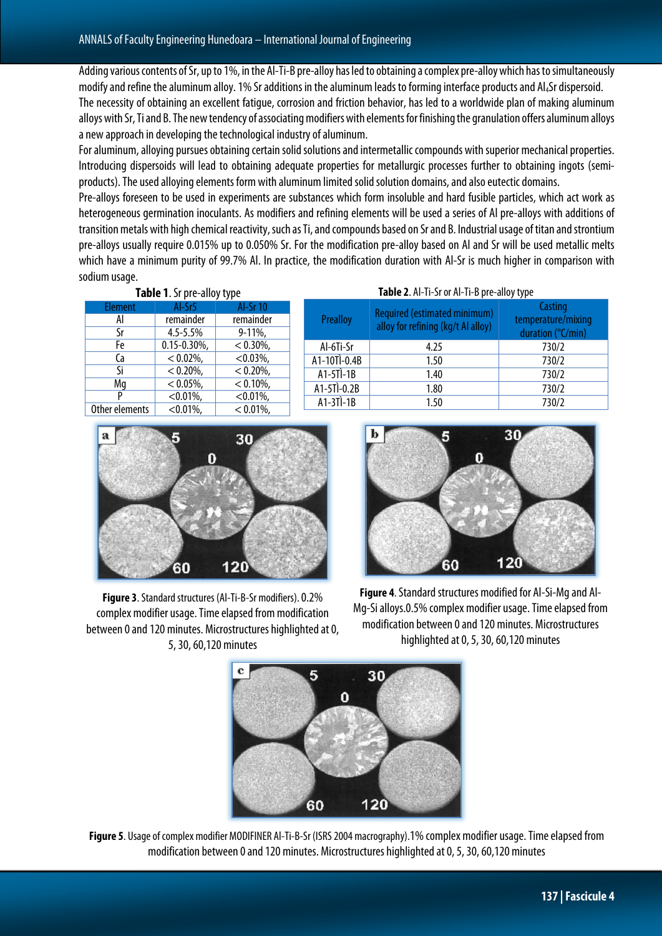Adding various contents of Sr, up to 1%, in the Al-Ti-B pre-alloy has led to obtaining a complex pre-alloy which has to simultaneously modify and refine the aluminum alloy. 1% Sr additions in the aluminum leads to forming interface products and Al4Sr dispersoid. The necessity of obtaining an excellent fatigue, corrosion and friction behavior, has led to a worldwide plan of making aluminum alloys with Sr, Ti and B. The new tendency of associating modifiers with elements for finishing the granulation offers aluminum alloys a new approach in developing the technological industry of aluminum.

For aluminum, alloying pursues obtaining certain solid solutions and intermetallic compounds with superior mechanical properties. Introducing dispersoids will lead to obtaining adequate properties for metallurgic processes further to obtaining ingots (semiproducts). The used alloying elements form with aluminum limited solid solution domains, and also eutectic domains.

Pre-alloys foreseen to be used in experiments are substances which form insoluble and hard fusible particles, which act work as heterogeneous germination inoculants. As modifiers and refining elements will be used a series of Al pre-alloys with additions of transition metals with high chemical reactivity, such as Ti, and compounds based on Sr and B. Industrial usage of titan and strontium pre-alloys usually require 0.015% up to 0.050% Sr. For the modification pre-alloy based on Al and Sr will be used metallic melts which have a minimum purity of 99.7% Al. In practice, the modification duration with Al-Sr is much higher in comparison with sodium usage.

| Table 1. Sr pre-alloy type |                 |              |               | Table 2. Al-Ti-Sr or Al-Ti-B pre-alloy type |                                         |  |
|----------------------------|-----------------|--------------|---------------|---------------------------------------------|-----------------------------------------|--|
| Element                    | Al-Sr5          | Al-Sr 10     |               | Required (estimated minimum)                | Casting                                 |  |
| AI                         | remainder       | remainder    | Prealloy      | alloy for refining (kg/t Al alloy)          | temperature/mixing<br>duration (°C/min) |  |
| Sr                         | $4.5 - 5.5%$    | $9-11\%$     |               |                                             |                                         |  |
| Fe                         | $0.15 - 0.30\%$ | $< 0.30\%$ , | Al-6Ti-Sr     | 4.25                                        | 730/2                                   |  |
| Ca                         | $< 0.02\%$ ,    | $< 0.03\%$ , | A1-10Tl-0.4B  | 1.50                                        | 730/2                                   |  |
| Si                         | $< 0.20\%$ ,    | $< 0.20\%$ , | $A1-5T$ $-1B$ | 1.40                                        | 730/2                                   |  |
| Mq                         | $< 0.05\%$ ,    | $< 0.10\%$ , | A1-5TÌ-0.2B   | 1.80                                        | 730/2                                   |  |
|                            | $< 0.01\%$ ,    | $< 0.01\%$ , | $A1-3T$ $-1B$ | 1.50                                        | 730/2                                   |  |
| Other elements             | $< 0.01\%$ ,    | $< 0.01\%$ , |               |                                             |                                         |  |



**Figure 3**. Standard structures (Al-Ti-B-Sr modifiers). 0.2% complex modifier usage. Time elapsed from modification between 0 and 120 minutes. Microstructures highlighted at 0, 5,30, 60,120 minutes



**Figure 4**. Standard structures modified for Al-Si-Mg and Al-Mg-Si alloys.0.5% complex modifier usage. Time elapsed from modification between 0 and 120 minutes. Microstructures highlighted at 0, 5, 30, 60,120 minutes



**Figure 5**. Usage of complex modifier MODIFINER Al-Ti-B-Sr (ISRS 2004 macrography).1% complex modifier usage. Time elapsed from modification between 0 and 120 minutes. Microstructures highlighted at 0, 5, 30, 60,120 minutes